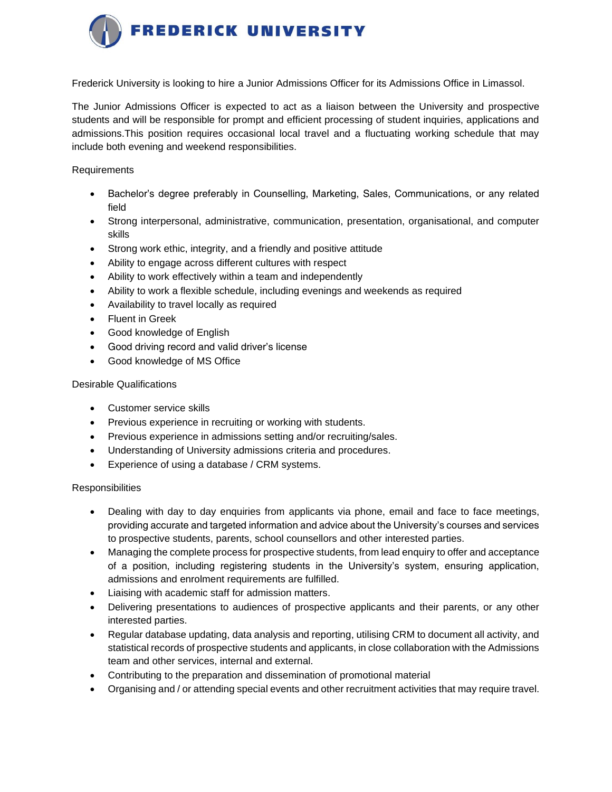

Frederick University is looking to hire a Junior Admissions Officer for its Admissions Office in Limassol.

The Junior Admissions Officer is expected to act as a liaison between the University and prospective students and will be responsible for prompt and efficient processing of student inquiries, applications and admissions.This position requires occasional local travel and a fluctuating working schedule that may include both evening and weekend responsibilities.

Requirements

- Bachelor's degree preferably in Counselling, Marketing, Sales, Communications, or any related field
- Strong interpersonal, administrative, communication, presentation, organisational, and computer skills
- Strong work ethic, integrity, and a friendly and positive attitude
- Ability to engage across different cultures with respect
- Ability to work effectively within a team and independently
- Ability to work a flexible schedule, including evenings and weekends as required
- Availability to travel locally as required
- **Fluent in Greek**
- Good knowledge of English
- Good driving record and valid driver's license
- Good knowledge of MS Office

## Desirable Qualifications

- Customer service skills
- Previous experience in recruiting or working with students.
- Previous experience in admissions setting and/or recruiting/sales.
- Understanding of University admissions criteria and procedures.
- Experience of using a database / CRM systems.

## **Responsibilities**

- Dealing with day to day enquiries from applicants via phone, email and face to face meetings, providing accurate and targeted information and advice about the University's courses and services to prospective students, parents, school counsellors and other interested parties.
- Managing the complete process for prospective students, from lead enquiry to offer and acceptance of a position, including registering students in the University's system, ensuring application, admissions and enrolment requirements are fulfilled.
- Liaising with academic staff for admission matters.
- Delivering presentations to audiences of prospective applicants and their parents, or any other interested parties.
- Regular database updating, data analysis and reporting, utilising CRM to document all activity, and statistical records of prospective students and applicants, in close collaboration with the Admissions team and other services, internal and external.
- Contributing to the preparation and dissemination of promotional material
- Organising and / or attending special events and other recruitment activities that may require travel.